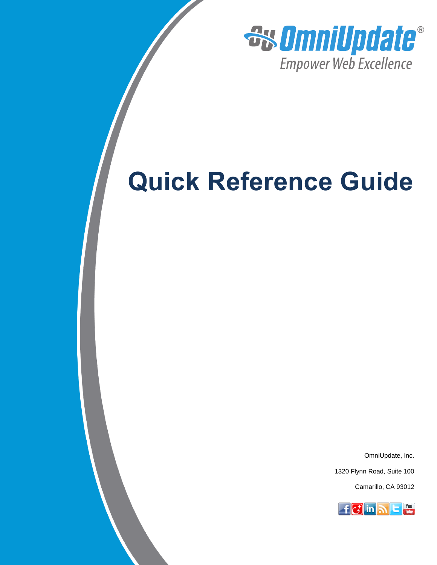

# **Quick Reference Guide**

OmniUpdate, Inc.

1320 Flynn Road, Suite 100

Camarillo, CA 93012

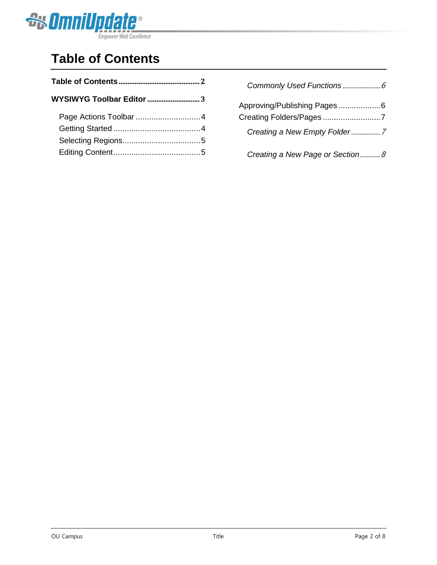

# **Table of Contents**

| Approving/Publishing Pages6<br>Creating Folders/Pages7 |
|--------------------------------------------------------|
| Creating a New Empty Folder7                           |
| Creating a New Page or Section 8                       |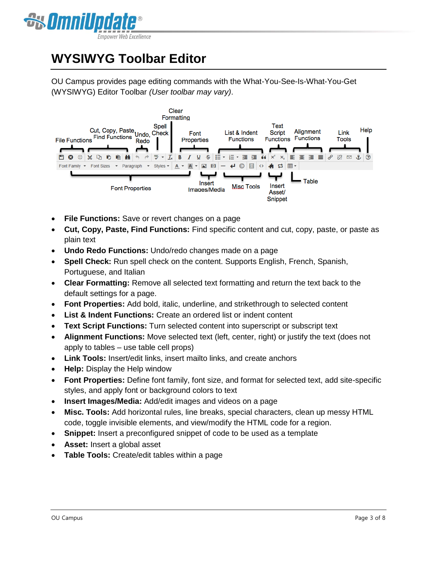

# **WYSIWYG Toolbar Editor**

OU Campus provides page editing commands with the What-You-See-Is-What-You-Get (WYSIWYG) Editor Toolbar *(User toolbar may vary)*.



- **File Functions:** Save or revert changes on a page
- **Cut, Copy, Paste, Find Functions:** Find specific content and cut, copy, paste, or paste as plain text
- **Undo Redo Functions:** Undo/redo changes made on a page
- **Spell Check:** Run spell check on the content. Supports English, French, Spanish, Portuguese, and Italian
- **Clear Formatting:** Remove all selected text formatting and return the text back to the default settings for a page.
- **Font Properties:** Add bold, italic, underline, and strikethrough to selected content
- **List & Indent Functions:** Create an ordered list or indent content
- **Text Script Functions:** Turn selected content into superscript or subscript text
- **Alignment Functions:** Move selected text (left, center, right) or justify the text (does not apply to tables – use table cell props)
- **Link Tools:** Insert/edit links, insert mailto links, and create anchors
- **Help:** Display the Help window
- **Font Properties:** Define font family, font size, and format for selected text, add site-specific styles, and apply font or background colors to text
- **Insert Images/Media:** Add/edit images and videos on a page
- **Misc. Tools:** Add horizontal rules, line breaks, special characters, clean up messy HTML code, toggle invisible elements, and view/modify the HTML code for a region.
- **Snippet:** Insert a preconfigured snippet of code to be used as a template
- **Asset:** Insert a global asset
- **Table Tools:** Create/edit tables within a page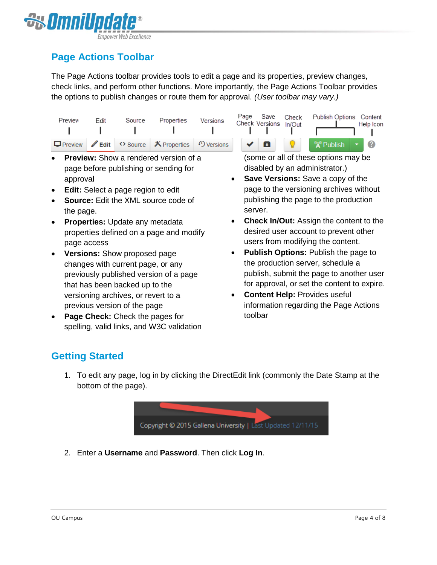

## **Page Actions Toolbar**

The Page Actions toolbar provides tools to edit a page and its properties, preview changes, check links, and perform other functions. More importantly, the Page Actions Toolbar provides the options to publish changes or route them for approval. *(User toolbar may vary.)*

|                                                                                        |  |  |  | Check Versions In/Out | Help Icon |
|----------------------------------------------------------------------------------------|--|--|--|-----------------------|-----------|
| □Preview / Edit O Source X Properties 9 Versions $\blacktriangleright$ / □ ♀ ♀ Vallish |  |  |  |                       | <b>10</b> |

- **Preview:** Show a rendered version of a page before publishing or sending for approval
- **Edit:** Select a page region to edit
- **Source:** Edit the XML source code of the page.
- **Properties:** Update any metadata properties defined on a page and modify page access
- **Versions:** Show proposed page changes with current page, or any previously published version of a page that has been backed up to the versioning archives, or revert to a previous version of the page
- **Page Check:** Check the pages for spelling, valid links, and W3C validation

(some or all of these options may be disabled by an administrator.)

- **Save Versions:** Save a copy of the page to the versioning archives without publishing the page to the production server.
- **Check In/Out:** Assign the content to the desired user account to prevent other users from modifying the content.
- **Publish Options:** Publish the page to the production server, schedule a publish, submit the page to another user for approval, or set the content to expire.
- **Content Help:** Provides useful information regarding the Page Actions toolbar

### **Getting Started**

1. To edit any page, log in by clicking the DirectEdit link (commonly the Date Stamp at the bottom of the page).



2. Enter a **Username** and **Password**. Then click **Log In**.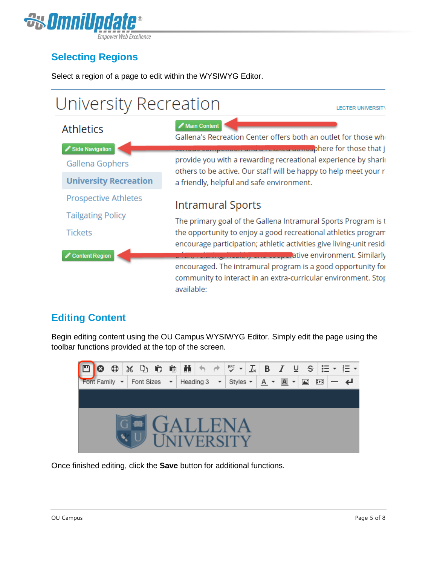

## **Selecting Regions**

Select a region of a page to edit within the WYSIWYG Editor.



### **Editing Content**

Begin editing content using the OU Campus WYSIWYG Editor. Simply edit the page using the toolbar functions provided at the top of the screen.



Once finished editing, click the **Save** button for additional functions.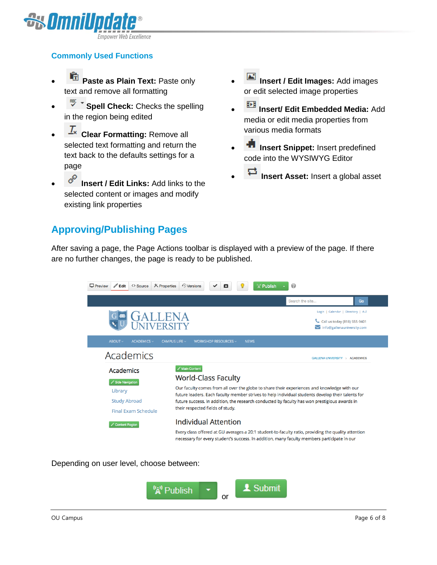

#### **Commonly Used Functions**

- **Paste as Plain Text:** Paste only text and remove all formatting
- **IBU THE Spell Check:** Checks the spelling in the region being edited
- **Clear Formatting:** Remove all selected text formatting and return the text back to the defaults settings for a page
- **<sup>***P***</sup>** Insert / Edit Links: Add links to the selected content or images and modify existing link properties

#### **Approving/Publishing Pages**

- **Insert / Edit Images:** Add images or edit selected image properties
- **Insert/ Edit Embedded Media:** Add media or edit media properties from various media formats
- **Insert Snippet:** Insert predefined code into the WYSIWYG Editor
- **Insert Asset:** Insert a global asset

After saving a page, the Page Actions toolbar is displayed with a preview of the page. If there are no further changes, the page is ready to be published.



Depending on user level, choose between:

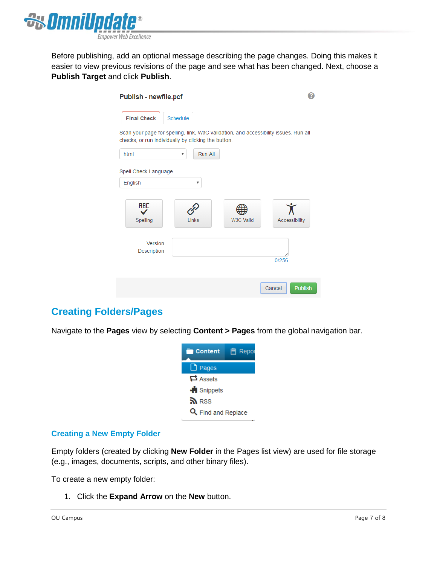

Before publishing, add an optional message describing the page changes. Doing this makes it easier to view previous revisions of the page and see what has been changed. Next, choose a **Publish Target** and click **Publish**.

| Publish - newfile.pcf                                                                                                                       |                                      |           |                          |
|---------------------------------------------------------------------------------------------------------------------------------------------|--------------------------------------|-----------|--------------------------|
| <b>Final Check</b>                                                                                                                          | Schedule                             |           |                          |
| Scan your page for spelling, link, W3C validation, and accessibility issues. Run all<br>checks, or run individually by clicking the button. |                                      |           |                          |
| html                                                                                                                                        | Run All<br>$\boldsymbol{\mathrm{v}}$ |           |                          |
| Spell Check Language                                                                                                                        |                                      |           |                          |
| English                                                                                                                                     | ۳                                    |           |                          |
| <b>ABC</b><br>Spelling                                                                                                                      | Links                                | W3C Valid | Accessibility            |
| Version<br>Description                                                                                                                      |                                      |           | 0/256                    |
|                                                                                                                                             |                                      |           | <b>Publish</b><br>Cancel |

#### **Creating Folders/Pages**

Navigate to the **Pages** view by selecting **Content > Pages** from the global navigation bar.



#### **Creating a New Empty Folder**

Empty folders (created by clicking **New Folder** in the Pages list view) are used for file storage (e.g., images, documents, scripts, and other binary files).

To create a new empty folder:

1. Click the **Expand Arrow** on the **New** button.